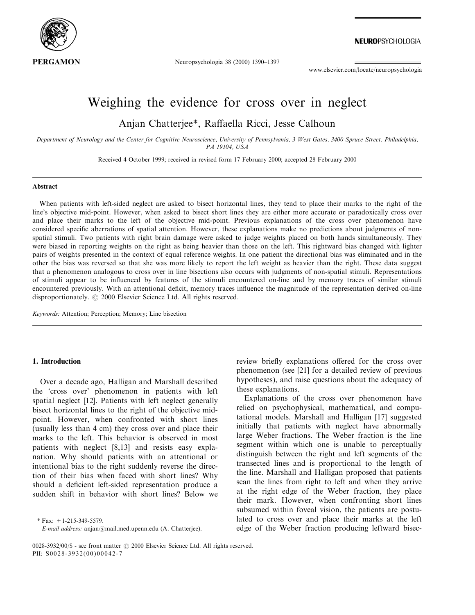

NEUROPSYCHOLOGIA

Neuropsychologia 38 (2000) 1390-1397

www.elsevier.com/locate/neuropsychologia

# Weighing the evidence for cross over in neglect

Anjan Chatterjee\*, Raffaella Ricci, Jesse Calhoun

Department of Neurology and the Center for Cognitive Neuroscience, University of Pennsylvania, 3 West Gates, 3400 Spruce Street, Philadelphia, PA 19104, USA

Received 4 October 1999; received in revised form 17 February 2000; accepted 28 February 2000

#### Abstract

When patients with left-sided neglect are asked to bisect horizontal lines, they tend to place their marks to the right of the line's objective mid-point. However, when asked to bisect short lines they are either more accurate or paradoxically cross over and place their marks to the left of the objective mid-point. Previous explanations of the cross over phenomenon have considered specific aberrations of spatial attention. However, these explanations make no predictions about judgments of nonspatial stimuli. Two patients with right brain damage were asked to judge weights placed on both hands simultaneously. They were biased in reporting weights on the right as being heavier than those on the left. This rightward bias changed with lighter pairs of weights presented in the context of equal reference weights. In one patient the directional bias was eliminated and in the other the bias was reversed so that she was more likely to report the left weight as heavier than the right. These data suggest that a phenomenon analogous to cross over in line bisections also occurs with judgments of non-spatial stimuli. Representations of stimuli appear to be influenced by features of the stimuli encountered on-line and by memory traces of similar stimuli encountered previously. With an attentional deficit, memory traces influence the magnitude of the representation derived on-line disproportionately.  $\odot$  2000 Elsevier Science Ltd. All rights reserved.

Keywords: Attention; Perception; Memory; Line bisection

#### 1. Introduction

Over a decade ago, Halligan and Marshall described the `cross over' phenomenon in patients with left spatial neglect [12]. Patients with left neglect generally bisect horizontal lines to the right of the objective midpoint. However, when confronted with short lines (usually less than 4 cm) they cross over and place their marks to the left. This behavior is observed in most patients with neglect [8,13] and resists easy explanation. Why should patients with an attentional or intentional bias to the right suddenly reverse the direction of their bias when faced with short lines? Why should a deficient left-sided representation produce a sudden shift in behavior with short lines? Below we

\* Fax: +1-215-349-5579.

review briefly explanations offered for the cross over phenomenon (see [21] for a detailed review of previous hypotheses), and raise questions about the adequacy of these explanations.

Explanations of the cross over phenomenon have relied on psychophysical, mathematical, and computational models. Marshall and Halligan [17] suggested initially that patients with neglect have abnormally large Weber fractions. The Weber fraction is the line segment within which one is unable to perceptually distinguish between the right and left segments of the transected lines and is proportional to the length of the line. Marshall and Halligan proposed that patients scan the lines from right to left and when they arrive at the right edge of the Weber fraction, they place their mark. However, when confronting short lines subsumed within foveal vision, the patients are postulated to cross over and place their marks at the left edge of the Weber fraction producing leftward bisec-

E-mail address: anjan@mail.med.upenn.edu (A. Chatterjee).

<sup>0028-3932/00/\$ -</sup> see front matter  $\odot$  2000 Elsevier Science Ltd. All rights reserved. PII: S0028-3932(00)00042-7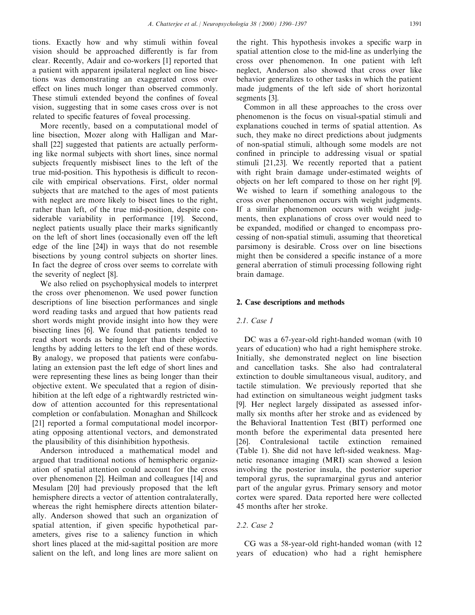tions. Exactly how and why stimuli within foveal vision should be approached differently is far from clear. Recently, Adair and co-workers [1] reported that a patient with apparent ipsilateral neglect on line bisections was demonstrating an exaggerated cross over effect on lines much longer than observed commonly. These stimuli extended beyond the confines of foveal vision, suggesting that in some cases cross over is not related to specific features of foveal processing.

More recently, based on a computational model of line bisection, Mozer along with Halligan and Marshall [22] suggested that patients are actually performing like normal subjects with short lines, since normal subjects frequently misbisect lines to the left of the true mid-position. This hypothesis is difficult to reconcile with empirical observations. First, older normal subjects that are matched to the ages of most patients with neglect are more likely to bisect lines to the right, rather than left, of the true mid-position, despite considerable variability in performance [19]. Second, neglect patients usually place their marks significantly on the left of short lines (occasionally even off the left edge of the line [24]) in ways that do not resemble bisections by young control subjects on shorter lines. In fact the degree of cross over seems to correlate with the severity of neglect [8].

We also relied on psychophysical models to interpret the cross over phenomenon. We used power function descriptions of line bisection performances and single word reading tasks and argued that how patients read short words might provide insight into how they were bisecting lines [6]. We found that patients tended to read short words as being longer than their objective lengths by adding letters to the left end of these words. By analogy, we proposed that patients were confabulating an extension past the left edge of short lines and were representing these lines as being longer than their objective extent. We speculated that a region of disinhibition at the left edge of a rightwardly restricted window of attention accounted for this representational completion or confabulation. Monaghan and Shillcock [21] reported a formal computational model incorporating opposing attentional vectors, and demonstrated the plausibility of this disinhibition hypothesis.

Anderson introduced a mathematical model and argued that traditional notions of hemispheric organization of spatial attention could account for the cross over phenomenon [2]. Heilman and colleagues [14] and Mesulam [20] had previously proposed that the left hemisphere directs a vector of attention contralaterally, whereas the right hemisphere directs attention bilaterally. Anderson showed that such an organization of spatial attention, if given specific hypothetical parameters, gives rise to a saliency function in which short lines placed at the mid-sagittal position are more salient on the left, and long lines are more salient on

the right. This hypothesis invokes a specific warp in spatial attention close to the mid-line as underlying the cross over phenomenon. In one patient with left neglect, Anderson also showed that cross over like behavior generalizes to other tasks in which the patient made judgments of the left side of short horizontal segments [3].

Common in all these approaches to the cross over phenomenon is the focus on visual-spatial stimuli and explanations couched in terms of spatial attention. As such, they make no direct predictions about judgments of non-spatial stimuli, although some models are not confined in principle to addressing visual or spatial stimuli [21,23]. We recently reported that a patient with right brain damage under-estimated weights of objects on her left compared to those on her right [9]. We wished to learn if something analogous to the cross over phenomenon occurs with weight judgments. If a similar phenomenon occurs with weight judgments, then explanations of cross over would need to be expanded, modified or changed to encompass processing of non-spatial stimuli, assuming that theoretical parsimony is desirable. Cross over on line bisections might then be considered a specific instance of a more general aberration of stimuli processing following right brain damage.

#### 2. Case descriptions and methods

## 2.1. Case 1

DC was a 67-year-old right-handed woman (with 10 years of education) who had a right hemisphere stroke. Initially, she demonstrated neglect on line bisection and cancellation tasks. She also had contralateral extinction to double simultaneous visual, auditory, and tactile stimulation. We previously reported that she had extinction on simultaneous weight judgment tasks [9]. Her neglect largely dissipated as assessed informally six months after her stroke and as evidenced by the Behavioral Inattention Test (BIT) performed one month before the experimental data presented here [26]. Contralesional tactile extinction remained (Table 1). She did not have left-sided weakness. Magnetic resonance imaging (MRI) scan showed a lesion involving the posterior insula, the posterior superior temporal gyrus, the supramarginal gyrus and anterior part of the angular gyrus. Primary sensory and motor cortex were spared. Data reported here were collected 45 months after her stroke.

# 2.2. Case 2

CG was a 58-year-old right-handed woman (with 12 years of education) who had a right hemisphere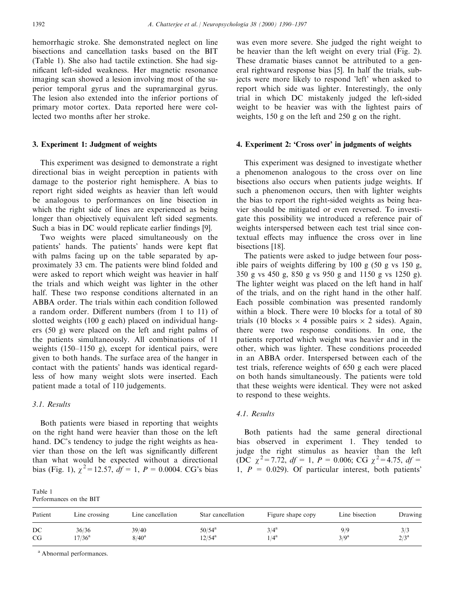hemorrhagic stroke. She demonstrated neglect on line bisections and cancellation tasks based on the BIT (Table 1). She also had tactile extinction. She had significant left-sided weakness. Her magnetic resonance imaging scan showed a lesion involving most of the superior temporal gyrus and the supramarginal gyrus. The lesion also extended into the inferior portions of primary motor cortex. Data reported here were collected two months after her stroke.

## 3. Experiment 1: Judgment of weights

This experiment was designed to demonstrate a right directional bias in weight perception in patients with damage to the posterior right hemisphere. A bias to report right sided weights as heavier than left would be analogous to performances on line bisection in which the right side of lines are experienced as being longer than objectively equivalent left sided segments. Such a bias in DC would replicate earlier findings [9].

Two weights were placed simultaneously on the patients' hands. The patients' hands were kept flat with palms facing up on the table separated by approximately 33 cm. The patients were blind folded and were asked to report which weight was heavier in half the trials and which weight was lighter in the other half. These two response conditions alternated in an ABBA order. The trials within each condition followed a random order. Different numbers (from 1 to 11) of slotted weights (100 g each) placed on individual hangers (50 g) were placed on the left and right palms of the patients simultaneously. All combinations of 11 weights  $(150-1150 \text{ g})$ , except for identical pairs, were given to both hands. The surface area of the hanger in contact with the patients' hands was identical regardless of how many weight slots were inserted. Each patient made a total of 110 judgements.

## 3.1. Results

Both patients were biased in reporting that weights on the right hand were heavier than those on the left hand. DC's tendency to judge the right weights as heavier than those on the left was significantly different than what would be expected without a directional bias (Fig. 1),  $\chi^2 = 12.57$ ,  $df = 1$ ,  $P = 0.0004$ . CG's bias

was even more severe. She judged the right weight to be heavier than the left weight on every trial (Fig. 2). These dramatic biases cannot be attributed to a general rightward response bias [5]. In half the trials, subjects were more likely to respond 'left' when asked to report which side was lighter. Interestingly, the only trial in which DC mistakenly judged the left-sided weight to be heavier was with the lightest pairs of weights, 150 g on the left and 250 g on the right.

#### 4. Experiment 2: 'Cross over' in judgments of weights

This experiment was designed to investigate whether a phenomenon analogous to the cross over on line bisections also occurs when patients judge weights. If such a phenomenon occurs, then with lighter weights the bias to report the right-sided weights as being heavier should be mitigated or even reversed. To investigate this possibility we introduced a reference pair of weights interspersed between each test trial since contextual effects may influence the cross over in line bisections [18].

The patients were asked to judge between four possible pairs of weights differing by  $100 \text{ g}$  (50 g vs  $150 \text{ g}$ , 350 g vs 450 g, 850 g vs 950 g and 1150 g vs 1250 g). The lighter weight was placed on the left hand in half of the trials, and on the right hand in the other half. Each possible combination was presented randomly within a block. There were 10 blocks for a total of 80 trials (10 blocks  $\times$  4 possible pairs  $\times$  2 sides). Again, there were two response conditions. In one, the patients reported which weight was heavier and in the other, which was lighter. These conditions proceeded in an ABBA order. Interspersed between each of the test trials, reference weights of 650 g each were placed on both hands simultaneously. The patients were told that these weights were identical. They were not asked to respond to these weights.

## 4.1. Results

Both patients had the same general directional bias observed in experiment 1. They tended to judge the right stimulus as heavier than the left (DC  $\chi^2$ =7.72, df = 1, P = 0.006; CG  $\chi^2$ =4.75, df = 1,  $P = 0.029$ . Of particular interest, both patients'

| Table 1                 |  |  |
|-------------------------|--|--|
| Performances on the BIT |  |  |

| Patient | Line crossing   | Line cancellation | Star cancellation | Figure shape copy | Line bisection | Drawing |
|---------|-----------------|-------------------|-------------------|-------------------|----------------|---------|
| DC      | 36/36           | 39/40             | $50/54^{\rm a}$   | $3/4^a$           | 9/9            | 3/3     |
| CG      | $17/36^{\rm a}$ | $8/40^{\rm a}$    | $12/54^{\rm a}$   | $/4^a$            | $3/9^a$        | $2/3^a$ |

<sup>a</sup> Abnormal performances.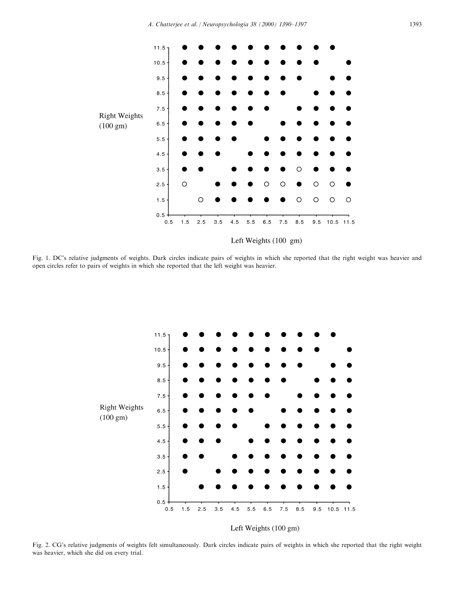

Left Weights (100 gm)

Fig. 1. DC's relative judgments of weights. Dark circles indicate pairs of weights in which she reported that the right weight was heavier and open circles refer to pairs of weights in which she reported that the left weight was heavier.



# Left Weights (100 gm)

Fig. 2. CG's relative judgments of weights felt simultaneously. Dark circles indicate pairs of weights in which she reported that the right weight was heavier, which she did on every trial.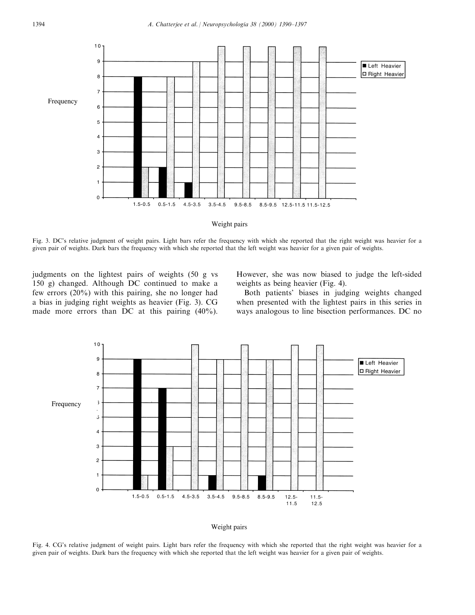

Weight pairs

Fig. 3. DC's relative judgment of weight pairs. Light bars refer the frequency with which she reported that the right weight was heavier for a given pair of weights. Dark bars the frequency with which she reported that the left weight was heavier for a given pair of weights.

judgments on the lightest pairs of weights (50 g vs 150 g) changed. Although DC continued to make a few errors (20%) with this pairing, she no longer had a bias in judging right weights as heavier (Fig. 3). CG made more errors than DC at this pairing (40%).

However, she was now biased to judge the left-sided weights as being heavier (Fig. 4).

Both patients' biases in judging weights changed when presented with the lightest pairs in this series in ways analogous to line bisection performances. DC no



#### Weight pairs

Fig. 4. CG's relative judgment of weight pairs. Light bars refer the frequency with which she reported that the right weight was heavier for a given pair of weights. Dark bars the frequency with which she reported that the left weight was heavier for a given pair of weights.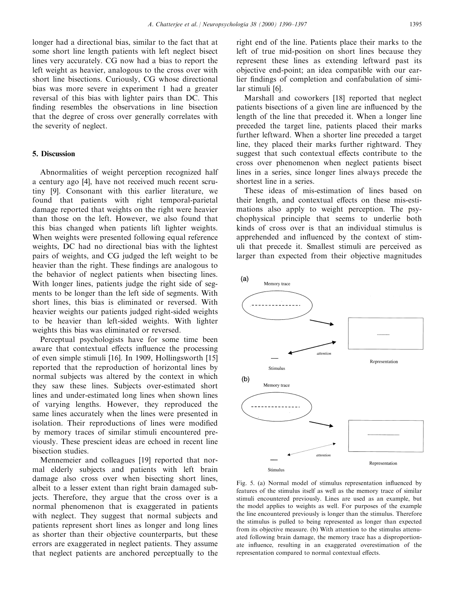longer had a directional bias, similar to the fact that at some short line length patients with left neglect bisect lines very accurately. CG now had a bias to report the left weight as heavier, analogous to the cross over with short line bisections. Curiously, CG whose directional bias was more severe in experiment 1 had a greater reversal of this bias with lighter pairs than DC. This finding resembles the observations in line bisection that the degree of cross over generally correlates with the severity of neglect.

## 5. Discussion

Abnormalities of weight perception recognized half a century ago [4], have not received much recent scrutiny [9]. Consonant with this earlier literature, we found that patients with right temporal-parietal damage reported that weights on the right were heavier than those on the left. However, we also found that this bias changed when patients lift lighter weights. When weights were presented following equal reference weights, DC had no directional bias with the lightest pairs of weights, and CG judged the left weight to be heavier than the right. These findings are analogous to the behavior of neglect patients when bisecting lines. With longer lines, patients judge the right side of segments to be longer than the left side of segments. With short lines, this bias is eliminated or reversed. With heavier weights our patients judged right-sided weights to be heavier than left-sided weights. With lighter weights this bias was eliminated or reversed.

Perceptual psychologists have for some time been aware that contextual effects influence the processing of even simple stimuli [16]. In 1909, Hollingsworth [15] reported that the reproduction of horizontal lines by normal subjects was altered by the context in which they saw these lines. Subjects over-estimated short lines and under-estimated long lines when shown lines of varying lengths. However, they reproduced the same lines accurately when the lines were presented in isolation. Their reproductions of lines were modified by memory traces of similar stimuli encountered previously. These prescient ideas are echoed in recent line bisection studies.

Mennemeier and colleagues [19] reported that normal elderly subjects and patients with left brain damage also cross over when bisecting short lines, albeit to a lesser extent than right brain damaged subjects. Therefore, they argue that the cross over is a normal phenomenon that is exaggerated in patients with neglect. They suggest that normal subjects and patients represent short lines as longer and long lines as shorter than their objective counterparts, but these errors are exaggerated in neglect patients. They assume that neglect patients are anchored perceptually to the

right end of the line. Patients place their marks to the left of true mid-position on short lines because they represent these lines as extending leftward past its objective end-point; an idea compatible with our earlier findings of completion and confabulation of similar stimuli [6].

Marshall and coworkers [18] reported that neglect patients bisections of a given line are influenced by the length of the line that preceded it. When a longer line preceded the target line, patients placed their marks further leftward. When a shorter line preceded a target line, they placed their marks further rightward. They suggest that such contextual effects contribute to the cross over phenomenon when neglect patients bisect lines in a series, since longer lines always precede the shortest line in a series.

These ideas of mis-estimation of lines based on their length, and contextual effects on these mis-estimations also apply to weight perception. The psychophysical principle that seems to underlie both kinds of cross over is that an individual stimulus is apprehended and influenced by the context of stimuli that precede it. Smallest stimuli are perceived as larger than expected from their objective magnitudes



Fig. 5. (a) Normal model of stimulus representation influenced by features of the stimulus itself as well as the memory trace of similar stimuli encountered previously. Lines are used as an example, but the model applies to weights as well. For purposes of the example the line encountered previously is longer than the stimulus. Therefore the stimulus is pulled to being represented as longer than expected from its objective measure. (b) With attention to the stimulus attenuated following brain damage, the memory trace has a disproportionate influence, resulting in an exaggerated overestimation of the representation compared to normal contextual effects.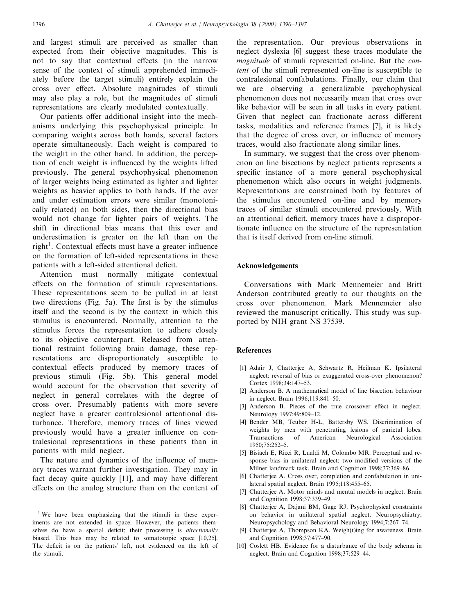and largest stimuli are perceived as smaller than expected from their objective magnitudes. This is not to say that contextual effects (in the narrow sense of the context of stimuli apprehended immediately before the target stimuli) entirely explain the cross over effect. Absolute magnitudes of stimuli may also play a role, but the magnitudes of stimuli representations are clearly modulated contextually.

Our patients offer additional insight into the mechanisms underlying this psychophysical principle. In comparing weights across both hands, several factors operate simultaneously. Each weight is compared to the weight in the other hand. In addition, the perception of each weight is influenced by the weights lifted previously. The general psychophysical phenomenon of larger weights being estimated as lighter and lighter weights as heavier applies to both hands. If the over and under estimation errors were similar (monotonically related) on both sides, then the directional bias would not change for lighter pairs of weights. The shift in directional bias means that this over and underestimation is greater on the left than on the right<sup>1</sup>. Contextual effects must have a greater influence on the formation of left-sided representations in these patients with a left-sided attentional deficit.

Attention must normally mitigate contextual effects on the formation of stimuli representations. These representations seem to be pulled in at least two directions (Fig. 5a). The first is by the stimulus itself and the second is by the context in which this stimulus is encountered. Normally, attention to the stimulus forces the representation to adhere closely to its objective counterpart. Released from attentional restraint following brain damage, these representations are disproportionately susceptible to contextual effects produced by memory traces of previous stimuli (Fig. 5b). This general model would account for the observation that severity of neglect in general correlates with the degree of cross over. Presumably patients with more severe neglect have a greater contralesional attentional disturbance. Therefore, memory traces of lines viewed previously would have a greater influence on contralesional representations in these patients than in patients with mild neglect.

The nature and dynamics of the influence of memory traces warrant further investigation. They may in fact decay quite quickly  $[11]$ , and may have different effects on the analog structure than on the content of

the representation. Our previous observations in neglect dyslexia [6] suggest these traces modulate the magnitude of stimuli represented on-line. But the content of the stimuli represented on-line is susceptible to contralesional confabulations. Finally, our claim that we are observing a generalizable psychophysical phenomenon does not necessarily mean that cross over like behavior will be seen in all tasks in every patient. Given that neglect can fractionate across different tasks, modalities and reference frames [7], it is likely that the degree of cross over, or influence of memory traces, would also fractionate along similar lines.

In summary, we suggest that the cross over phenomenon on line bisections by neglect patients represents a specific instance of a more general psychophysical phenomenon which also occurs in weight judgments. Representations are constrained both by features of the stimulus encountered on-line and by memory traces of similar stimuli encountered previously. With an attentional deficit, memory traces have a disproportionate influence on the structure of the representation that is itself derived from on-line stimuli.

#### Acknowledgements

Conversations with Mark Mennemeier and Britt Anderson contributed greatly to our thoughts on the cross over phenomenon. Mark Mennemeier also reviewed the manuscript critically. This study was supported by NIH grant NS 37539.

## References

- [1] Adair J, Chatterjee A, Schwartz R, Heilman K. Ipsilateral neglect: reversal of bias or exaggerated cross-over phenomenon? Cortex 1998;34:147-53.
- [2] Anderson B. A mathematical model of line bisection behaviour in neglect. Brain 1996;119:841-50.
- [3] Anderson B. Pieces of the true crossover effect in neglect. Neurology 1997;49:809-12.
- [4] Bender MB, Teuber H-L, Battersby WS. Discrimination of weights by men with penetrating lesions of parietal lobes. Transactions of American Neurological Association 1950;75:252-5.
- [5] Bisiach E, Ricci R, Lualdi M, Colombo MR. Perceptual and response bias in unilateral neglect: two modified versions of the Milner landmark task. Brain and Cognition 1998;37:369-86.
- [6] Chatterjee A. Cross over, completion and confabulation in unilateral spatial neglect. Brain 1995;118:455-65.
- [7] Chatterjee A. Motor minds and mental models in neglect. Brain and Cognition 1998;37:339-49.
- [8] Chatterjee A, Dajani BM, Gage RJ. Psychophysical constraints on behavior in unilateral spatial neglect. Neuropsychiatry, Neuropsychology and Behavioral Neurology 1994;7:267-74.
- [9] Chatterjee A, Thompson KA. Weigh(t)ing for awareness. Brain and Cognition 1998;37:477-90.
- [10] Coslett HB. Evidence for a disturbance of the body schema in neglect. Brain and Cognition 1998;37:529-44.

<sup>&</sup>lt;sup>1</sup> We have been emphasizing that the stimuli in these experiments are not extended in space. However, the patients themselves do have a spatial deficit; their processing is *directionally* biased. This bias may be related to somatotopic space [10,25]. The deficit is on the patients' left, not evidenced on the left of the stimuli.